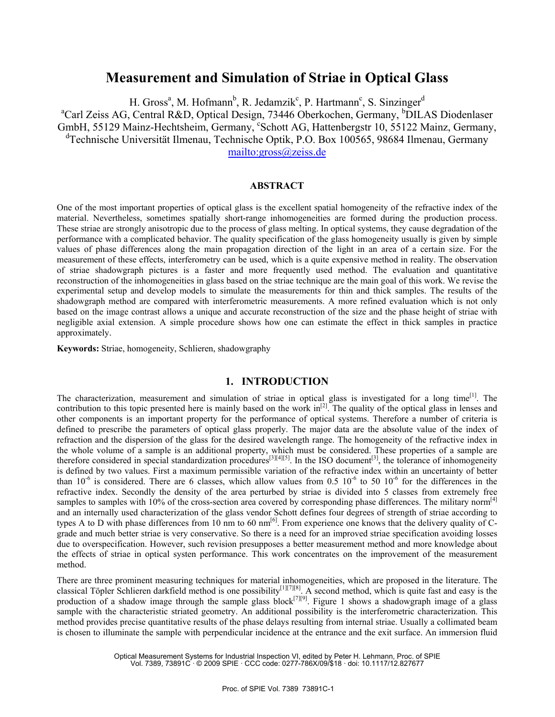# **Measurement and Simulation of Striae in Optical Glass**

H. Gross<sup>a</sup>, M. Hofmann<sup>b</sup>, R. Jedamzik<sup>c</sup>, P. Hartmann<sup>c</sup>, S. Sinzinger<sup>d</sup> <sup>a</sup>Carl Zeiss AG, Central R&D, Optical Design, 73446 Oberkochen, Germany, <sup>b</sup>DILAS Diodenlaser GmbH, 55129 Mainz-Hechtsheim, Germany, 'Schott AG, Hattenbergstr 10, 55122 Mainz, Germany, d Technische Universität Ilmenau, Technische Optik, P.O. Box 100565, 98684 Ilmenau, Germany mailto:gross@zeiss.de

#### **ABSTRACT**

One of the most important properties of optical glass is the excellent spatial homogeneity of the refractive index of the material. Nevertheless, sometimes spatially short-range inhomogeneities are formed during the production process. These striae are strongly anisotropic due to the process of glass melting. In optical systems, they cause degradation of the performance with a complicated behavior. The quality specification of the glass homogeneity usually is given by simple values of phase differences along the main propagation direction of the light in an area of a certain size. For the measurement of these effects, interferometry can be used, which is a quite expensive method in reality. The observation of striae shadowgraph pictures is a faster and more frequently used method. The evaluation and quantitative reconstruction of the inhomogeneities in glass based on the striae technique are the main goal of this work. We revise the experimental setup and develop models to simulate the measurements for thin and thick samples. The results of the shadowgraph method are compared with interferometric measurements. A more refined evaluation which is not only based on the image contrast allows a unique and accurate reconstruction of the size and the phase height of striae with negligible axial extension. A simple procedure shows how one can estimate the effect in thick samples in practice approximately.

**Keywords:** Striae, homogeneity, Schlieren, shadowgraphy

#### **1. INTRODUCTION**

The characterization, measurement and simulation of striae in optical glass is investigated for a long time<sup>[1]</sup>. The contribution to this topic presented here is mainly based on the work in<sup>[2]</sup>. The quality of the optical glass in lenses and other components is an important property for the performance of optical systems. Therefore a number of criteria is defined to prescribe the parameters of optical glass properly. The major data are the absolute value of the index of refraction and the dispersion of the glass for the desired wavelength range. The homogeneity of the refractive index in the whole volume of a sample is an additional property, which must be considered. These properties of a sample are therefore considered in special standardization procedures<sup>[3][4][5]</sup>. In the ISO document<sup>[3]</sup>, the tolerance of inhomogeneity is defined by two values. First a maximum permissible variation of the refractive index within an uncertainty of better than  $10^{-6}$  is considered. There are 6 classes, which allow values from 0.5  $10^{-6}$  to 50  $10^{-6}$  for the differences in the refractive index. Secondly the density of the area perturbed by striae is divided into 5 classes from extremely free samples to samples with 10% of the cross-section area covered by corresponding phase differences. The military norm<sup>[4]</sup> and an internally used characterization of the glass vendor Schott defines four degrees of strength of striae according to types A to D with phase differences from 10 nm to 60 nm<sup>[6]</sup>. From experience one knows that the delivery quality of Cgrade and much better striae is very conservative. So there is a need for an improved striae specification avoiding losses due to overspecification. However, such revision presupposes a better measurement method and more knowledge about the effects of striae in optical systen performance. This work concentrates on the improvement of the measurement method.

There are three prominent measuring techniques for material inhomogeneities, which are proposed in the literature. The classical Töpler Schlieren darkfield method is one possibility<sup>[1][7][8]</sup>. A second method, which is quite fast and easy is the production of a shadow image through the sample glass block<sup>[7][9]</sup>. Figure 1 shows a shadowgraph image of a glass sample with the characteristic striated geometry. An additional possibility is the interferometric characterization. This method provides precise quantitative results of the phase delays resulting from internal striae. Usually a collimated beam is chosen to illuminate the sample with perpendicular incidence at the entrance and the exit surface. An immersion fluid

> Optical Measurement Systems for Industrial Inspection VI, edited by Peter H. Lehmann, Proc. of SPIE Vol. 7389, 73891C · © 2009 SPIE · CCC code: 0277-786X/09/\$18 · doi: 10.1117/12.827677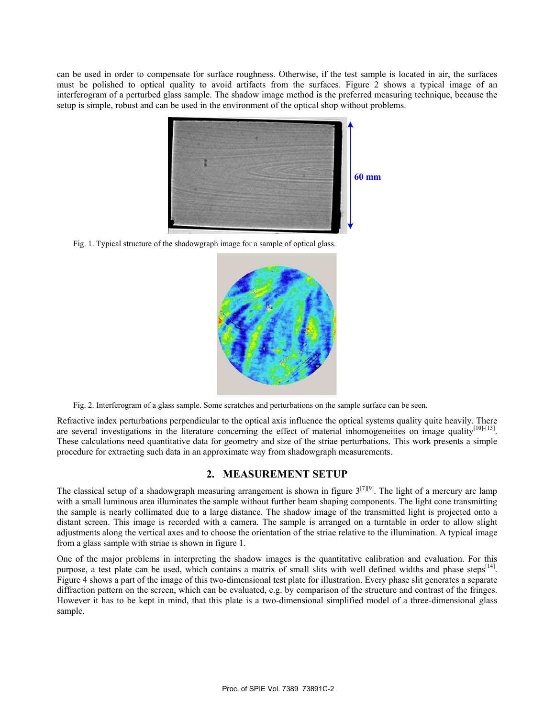can be used in order to compensate for surface roughness. Otherwise, if the test sample is located in air, the surfaces must be polished to optical quality to avoid artifacts from the surfaces. Figure 2 shows a typical image of an interferogram of a perturbed glass sample. The shadow image method is the preferred measuring technique, because the setup is simple, robust and can be used in the environment of the optical shop without problems.



Fig. 1. Typical structure of the shadowgraph image for a sample of optical glass.



Fig. 2. Interferogram of a glass sample. Some scratches and perturbations on the sample surface can be seen.

Refractive index perturbations perpendicular to the optical axis influence the optical systems quality quite heavily. There are several investigations in the literature concerning the effect of material inhomogeneities on image quality<sup>[10]-[13]</sup>. These calculations need quantitative data for geometry and size of the striae perturbations. This work presents a simple procedure for extracting such data in an approximate way from shadowgraph measurements.

### **2. MEASUREMENT SETUP**

The classical setup of a shadowgraph measuring arrangement is shown in figure  $3^{[7][9]}$ . The light of a mercury arc lamp with a small luminous area illuminates the sample without further beam shaping components. The light cone transmitting the sample is nearly collimated due to a large distance. The shadow image of the transmitted light is projected onto a distant screen. This image is recorded with a camera. The sample is arranged on a turntable in order to allow slight adjustments along the vertical axes and to choose the orientation of the striae relative to the illumination. A typical image from a glass sample with striae is shown in figure 1.

One of the major problems in interpreting the shadow images is the quantitative calibration and evaluation. For this purpose, a test plate can be used, which contains a matrix of small slits with well defined widths and phase steps[14]. Figure 4 shows a part of the image of this two-dimensional test plate for illustration. Every phase slit generates a separate diffraction pattern on the screen, which can be evaluated, e.g. by comparison of the structure and contrast of the fringes. However it has to be kept in mind, that this plate is a two-dimensional simplified model of a three-dimensional glass sample.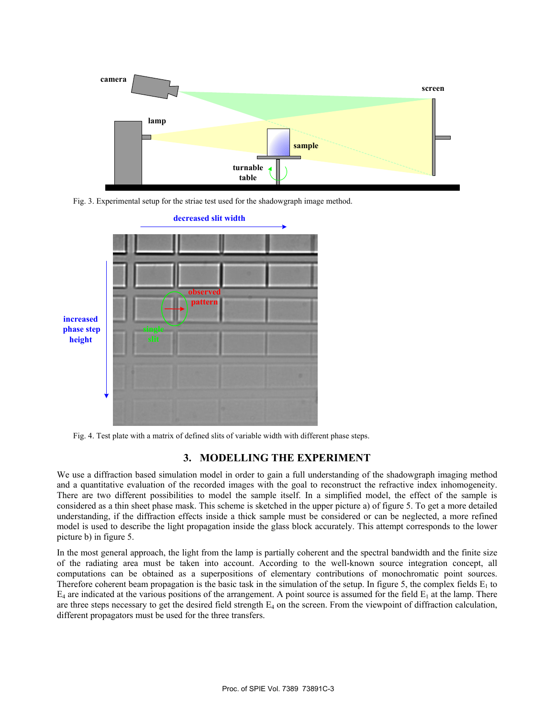

Fig. 3. Experimental setup for the striae test used for the shadowgraph image method.



Fig. 4. Test plate with a matrix of defined slits of variable width with different phase steps.

# **3. MODELLING THE EXPERIMENT**

We use a diffraction based simulation model in order to gain a full understanding of the shadowgraph imaging method and a quantitative evaluation of the recorded images with the goal to reconstruct the refractive index inhomogeneity. There are two different possibilities to model the sample itself. In a simplified model, the effect of the sample is considered as a thin sheet phase mask. This scheme is sketched in the upper picture a) of figure 5. To get a more detailed understanding, if the diffraction effects inside a thick sample must be considered or can be neglected, a more refined model is used to describe the light propagation inside the glass block accurately. This attempt corresponds to the lower picture b) in figure 5.

In the most general approach, the light from the lamp is partially coherent and the spectral bandwidth and the finite size of the radiating area must be taken into account. According to the well-known source integration concept, all computations can be obtained as a superpositions of elementary contributions of monochromatic point sources. Therefore coherent beam propagation is the basic task in the simulation of the setup. In figure 5, the complex fields  $E_1$  to  $E_4$  are indicated at the various positions of the arrangement. A point source is assumed for the field  $E_1$  at the lamp. There are three steps necessary to get the desired field strength  $E_4$  on the screen. From the viewpoint of diffraction calculation, different propagators must be used for the three transfers.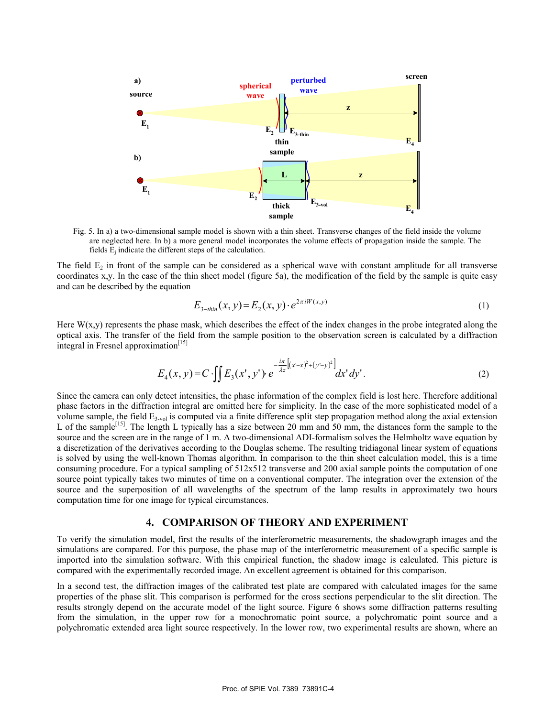

Fig. 5. In a) a two-dimensional sample model is shown with a thin sheet. Transverse changes of the field inside the volume are neglected here. In b) a more general model incorporates the volume effects of propagation inside the sample. The fields  $E_i$  indicate the different steps of the calculation.

The field  $E<sub>2</sub>$  in front of the sample can be considered as a spherical wave with constant amplitude for all transverse coordinates x,y. In the case of the thin sheet model (figure 5a), the modification of the field by the sample is quite easy and can be described by the equation

$$
E_{3-thin}(x, y) = E_2(x, y) \cdot e^{2\pi i W(x, y)}
$$
\n(1)

Here  $W(x,y)$  represents the phase mask, which describes the effect of the index changes in the probe integrated along the optical axis. The transfer of the field from the sample position to the observation screen is calculated by a diffraction integral in Fresnel approximation<sup>[15]</sup>

$$
E_4(x, y) = C \cdot \iint E_3(x', y') \cdot e^{-\frac{i\pi}{\lambda z} [(x'-x)^2 + (y'-y)^2]} dx' dy'.
$$
 (2)

Since the camera can only detect intensities, the phase information of the complex field is lost here. Therefore additional phase factors in the diffraction integral are omitted here for simplicity. In the case of the more sophisticated model of a volume sample, the field E3-vol is computed via a finite difference split step propagation method along the axial extension L of the sample<sup>[15]</sup>. The length L typically has a size between 20 mm and 50 mm, the distances form the sample to the source and the screen are in the range of 1 m. A two-dimensional ADI-formalism solves the Helmholtz wave equation by a discretization of the derivatives according to the Douglas scheme. The resulting tridiagonal linear system of equations is solved by using the well-known Thomas algorithm. In comparison to the thin sheet calculation model, this is a time consuming procedure. For a typical sampling of 512x512 transverse and 200 axial sample points the computation of one source point typically takes two minutes of time on a conventional computer. The integration over the extension of the source and the superposition of all wavelengths of the spectrum of the lamp results in approximately two hours computation time for one image for typical circumstances.

# **4. COMPARISON OF THEORY AND EXPERIMENT**

To verify the simulation model, first the results of the interferometric measurements, the shadowgraph images and the simulations are compared. For this purpose, the phase map of the interferometric measurement of a specific sample is imported into the simulation software. With this empirical function, the shadow image is calculated. This picture is compared with the experimentally recorded image. An excellent agreement is obtained for this comparison.

In a second test, the diffraction images of the calibrated test plate are compared with calculated images for the same properties of the phase slit. This comparison is performed for the cross sections perpendicular to the slit direction. The results strongly depend on the accurate model of the light source. Figure 6 shows some diffraction patterns resulting from the simulation, in the upper row for a monochromatic point source, a polychromatic point source and a polychromatic extended area light source respectively. In the lower row, two experimental results are shown, where an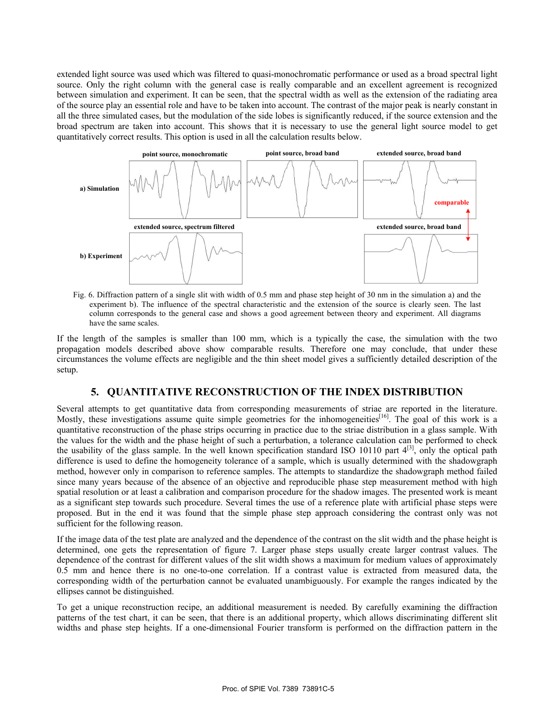extended light source was used which was filtered to quasi-monochromatic performance or used as a broad spectral light source. Only the right column with the general case is really comparable and an excellent agreement is recognized between simulation and experiment. It can be seen, that the spectral width as well as the extension of the radiating area of the source play an essential role and have to be taken into account. The contrast of the major peak is nearly constant in all the three simulated cases, but the modulation of the side lobes is significantly reduced, if the source extension and the broad spectrum are taken into account. This shows that it is necessary to use the general light source model to get quantitatively correct results. This option is used in all the calculation results below.



Fig. 6. Diffraction pattern of a single slit with width of 0.5 mm and phase step height of 30 nm in the simulation a) and the experiment b). The influence of the spectral characteristic and the extension of the source is clearly seen. The last column corresponds to the general case and shows a good agreement between theory and experiment. All diagrams have the same scales.

If the length of the samples is smaller than 100 mm, which is a typically the case, the simulation with the two propagation models described above show comparable results. Therefore one may conclude, that under these circumstances the volume effects are negligible and the thin sheet model gives a sufficiently detailed description of the setup.

### **5. QUANTITATIVE RECONSTRUCTION OF THE INDEX DISTRIBUTION**

Several attempts to get quantitative data from corresponding measurements of striae are reported in the literature. Mostly, these investigations assume quite simple geometries for the inhomogeneities<sup>[16]</sup>. The goal of this work is a quantitative reconstruction of the phase strips occurring in practice due to the striae distribution in a glass sample. With the values for the width and the phase height of such a perturbation, a tolerance calculation can be performed to check the usability of the glass sample. In the well known specification standard ISO 10110 part  $4^{[3]}$ , only the optical path difference is used to define the homogeneity tolerance of a sample, which is usually determined with the shadowgraph method, however only in comparison to reference samples. The attempts to standardize the shadowgraph method failed since many years because of the absence of an objective and reproducible phase step measurement method with high spatial resolution or at least a calibration and comparison procedure for the shadow images. The presented work is meant as a significant step towards such procedure. Several times the use of a reference plate with artificial phase steps were proposed. But in the end it was found that the simple phase step approach considering the contrast only was not sufficient for the following reason.

If the image data of the test plate are analyzed and the dependence of the contrast on the slit width and the phase height is determined, one gets the representation of figure 7. Larger phase steps usually create larger contrast values. The dependence of the contrast for different values of the slit width shows a maximum for medium values of approximately 0.5 mm and hence there is no one-to-one correlation. If a contrast value is extracted from measured data, the corresponding width of the perturbation cannot be evaluated unambiguously. For example the ranges indicated by the ellipses cannot be distinguished.

To get a unique reconstruction recipe, an additional measurement is needed. By carefully examining the diffraction patterns of the test chart, it can be seen, that there is an additional property, which allows discriminating different slit widths and phase step heights. If a one-dimensional Fourier transform is performed on the diffraction pattern in the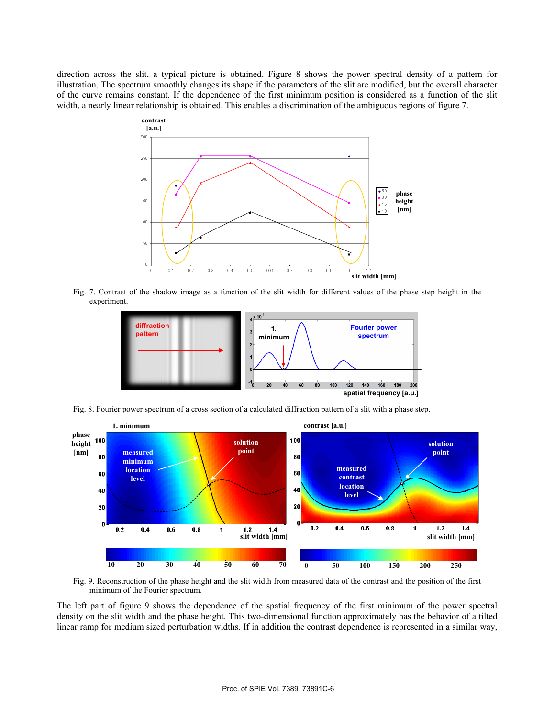direction across the slit, a typical picture is obtained. Figure 8 shows the power spectral density of a pattern for illustration. The spectrum smoothly changes its shape if the parameters of the slit are modified, but the overall character of the curve remains constant. If the dependence of the first minimum position is considered as a function of the slit width, a nearly linear relationship is obtained. This enables a discrimination of the ambiguous regions of figure 7.



Fig. 7. Contrast of the shadow image as a function of the slit width for different values of the phase step height in the experiment.



Fig. 8. Fourier power spectrum of a cross section of a calculated diffraction pattern of a slit with a phase step.



Fig. 9. Reconstruction of the phase height and the slit width from measured data of the contrast and the position of the first minimum of the Fourier spectrum.

The left part of figure 9 shows the dependence of the spatial frequency of the first minimum of the power spectral density on the slit width and the phase height. This two-dimensional function approximately has the behavior of a tilted linear ramp for medium sized perturbation widths. If in addition the contrast dependence is represented in a similar way,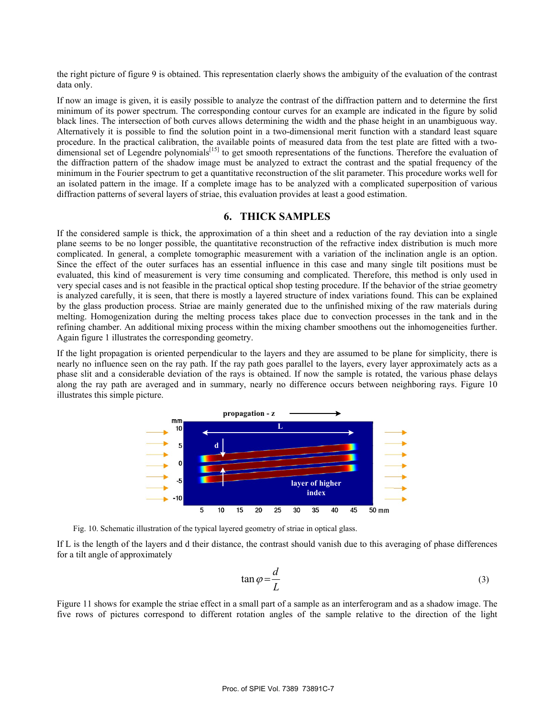the right picture of figure 9 is obtained. This representation claerly shows the ambiguity of the evaluation of the contrast data only.

If now an image is given, it is easily possible to analyze the contrast of the diffraction pattern and to determine the first minimum of its power spectrum. The corresponding contour curves for an example are indicated in the figure by solid black lines. The intersection of both curves allows determining the width and the phase height in an unambiguous way. Alternatively it is possible to find the solution point in a two-dimensional merit function with a standard least square procedure. In the practical calibration, the available points of measured data from the test plate are fitted with a twodimensional set of Legendre polynomials<sup>[15]</sup> to get smooth representations of the functions. Therefore the evaluation of the diffraction pattern of the shadow image must be analyzed to extract the contrast and the spatial frequency of the minimum in the Fourier spectrum to get a quantitative reconstruction of the slit parameter. This procedure works well for an isolated pattern in the image. If a complete image has to be analyzed with a complicated superposition of various diffraction patterns of several layers of striae, this evaluation provides at least a good estimation.

### **6. THICK SAMPLES**

If the considered sample is thick, the approximation of a thin sheet and a reduction of the ray deviation into a single plane seems to be no longer possible, the quantitative reconstruction of the refractive index distribution is much more complicated. In general, a complete tomographic measurement with a variation of the inclination angle is an option. Since the effect of the outer surfaces has an essential influence in this case and many single tilt positions must be evaluated, this kind of measurement is very time consuming and complicated. Therefore, this method is only used in very special cases and is not feasible in the practical optical shop testing procedure. If the behavior of the striae geometry is analyzed carefully, it is seen, that there is mostly a layered structure of index variations found. This can be explained by the glass production process. Striae are mainly generated due to the unfinished mixing of the raw materials during melting. Homogenization during the melting process takes place due to convection processes in the tank and in the refining chamber. An additional mixing process within the mixing chamber smoothens out the inhomogeneities further. Again figure 1 illustrates the corresponding geometry.

If the light propagation is oriented perpendicular to the layers and they are assumed to be plane for simplicity, there is nearly no influence seen on the ray path. If the ray path goes parallel to the layers, every layer approximately acts as a phase slit and a considerable deviation of the rays is obtained. If now the sample is rotated, the various phase delays along the ray path are averaged and in summary, nearly no difference occurs between neighboring rays. Figure 10 illustrates this simple picture.



Fig. 10. Schematic illustration of the typical layered geometry of striae in optical glass.

If L is the length of the layers and d their distance, the contrast should vanish due to this averaging of phase differences for a tilt angle of approximately

$$
\tan \varphi = \frac{d}{L} \tag{3}
$$

Figure 11 shows for example the striae effect in a small part of a sample as an interferogram and as a shadow image. The five rows of pictures correspond to different rotation angles of the sample relative to the direction of the light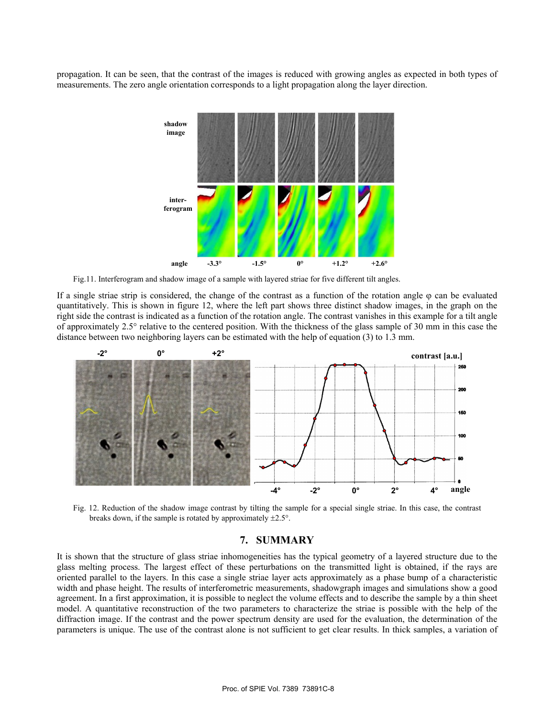propagation. It can be seen, that the contrast of the images is reduced with growing angles as expected in both types of measurements. The zero angle orientation corresponds to a light propagation along the layer direction.



Fig.11. Interferogram and shadow image of a sample with layered striae for five different tilt angles.

If a single striae strip is considered, the change of the contrast as a function of the rotation angle  $\varphi$  can be evaluated quantitatively. This is shown in figure 12, where the left part shows three distinct shadow images, in the graph on the right side the contrast is indicated as a function of the rotation angle. The contrast vanishes in this example for a tilt angle of approximately 2.5° relative to the centered position. With the thickness of the glass sample of 30 mm in this case the distance between two neighboring layers can be estimated with the help of equation (3) to 1.3 mm.



Fig. 12. Reduction of the shadow image contrast by tilting the sample for a special single striae. In this case, the contrast breaks down, if the sample is rotated by approximately ±2.5°.

# **7. SUMMARY**

It is shown that the structure of glass striae inhomogeneities has the typical geometry of a layered structure due to the glass melting process. The largest effect of these perturbations on the transmitted light is obtained, if the rays are oriented parallel to the layers. In this case a single striae layer acts approximately as a phase bump of a characteristic width and phase height. The results of interferometric measurements, shadowgraph images and simulations show a good agreement. In a first approximation, it is possible to neglect the volume effects and to describe the sample by a thin sheet model. A quantitative reconstruction of the two parameters to characterize the striae is possible with the help of the diffraction image. If the contrast and the power spectrum density are used for the evaluation, the determination of the parameters is unique. The use of the contrast alone is not sufficient to get clear results. In thick samples, a variation of